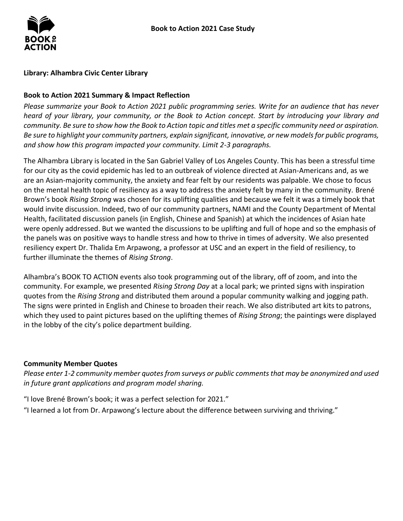

## **Library: Alhambra Civic Center Library**

## **Book to Action 2021 Summary & Impact Reflection**

*Please summarize your Book to Action 2021 public programming series. Write for an audience that has never heard of your library, your community, or the Book to Action concept. Start by introducing your library and community. Be sure to show how the Book to Action topic and titles met a specific community need or aspiration. Be sure to highlight your community partners, explain significant, innovative, or new models for public programs, and show how this program impacted your community. Limit 2-3 paragraphs.*

The Alhambra Library is located in the San Gabriel Valley of Los Angeles County. This has been a stressful time for our city as the covid epidemic has led to an outbreak of violence directed at Asian-Americans and, as we are an Asian-majority community, the anxiety and fear felt by our residents was palpable. We chose to focus on the mental health topic of resiliency as a way to address the anxiety felt by many in the community. Brené Brown's book *Rising Strong* was chosen for its uplifting qualities and because we felt it was a timely book that would invite discussion. Indeed, two of our community partners, NAMI and the County Department of Mental Health, facilitated discussion panels (in English, Chinese and Spanish) at which the incidences of Asian hate were openly addressed. But we wanted the discussions to be uplifting and full of hope and so the emphasis of the panels was on positive ways to handle stress and how to thrive in times of adversity. We also presented resiliency expert Dr. Thalida Em Arpawong, a professor at USC and an expert in the field of resiliency, to further illuminate the themes of *Rising Strong*.

Alhambra's BOOK TO ACTION events also took programming out of the library, off of zoom, and into the community. For example, we presented *Rising Strong Day* at a local park; we printed signs with inspiration quotes from the *Rising Strong* and distributed them around a popular community walking and jogging path. The signs were printed in English and Chinese to broaden their reach. We also distributed art kits to patrons, which they used to paint pictures based on the uplifting themes of *Rising Strong*; the paintings were displayed in the lobby of the city's police department building.

#### **Community Member Quotes**

*Please enter 1-2 community member quotes from surveys or public comments that may be anonymized and used in future grant applications and program model sharing.* 

"I love Brené Brown's book; it was a perfect selection for 2021."

"I learned a lot from Dr. Arpawong's lecture about the difference between surviving and thriving."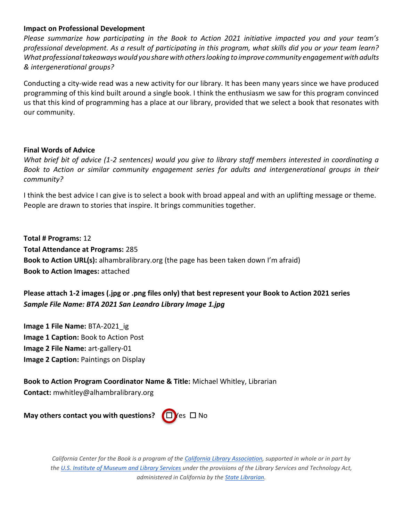## **Impact on Professional Development**

*Please summarize how participating in the Book to Action 2021 initiative impacted you and your team's professional development. As a result of participating in this program, what skills did you or your team learn? What professionaltakeawayswould yousharewith otherslooking toimprove community engagementwithadults & intergenerational groups?*

Conducting a city-wide read was a new activity for our library. It has been many years since we have produced programming of this kind built around a single book. I think the enthusiasm we saw for this program convinced us that this kind of programming has a place at our library, provided that we select a book that resonates with our community.

#### **Final Words of Advice**

*What brief bit of advice (1-2 sentences) would you give to library staff members interested in coordinating a Book to Action or similar community engagement series for adults and intergenerational groups in their community?*

I think the best advice I can give is to select a book with broad appeal and with an uplifting message or theme. People are drawn to stories that inspire. It brings communities together.

**Total # Programs:** 12 **Total Attendance at Programs:** 285 **Book to Action URL(s):** alhambralibrary.org (the page has been taken down I'm afraid) **Book to Action Images:** attached

# **Please attach 1-2 images (.jpg or .png files only) that best represent your Book to Action 2021 series** *Sample File Name: BTA 2021 San Leandro Library Image 1.jpg*

**Image 1 File Name:** BTA-2021\_ig **Image 1 Caption:** Book to Action Post **Image 2 File Name:** art-gallery-01 **Image 2 Caption:** Paintings on Display

**Book to Action Program Coordinator Name & Title:** Michael Whitley, Librarian **Contact:** mwhitley@alhambralibrary.org

**May others contact you with questions?** (□)/es □ No



*California Center for the Book is a program of the California Library [Association,](http://www.cla-net.org/) supported in whole or in part by the U.S. Institute of [Museum](http://www.imls.gov/) and Library Services under the provisions of the Library Services and Technology Act, administered in California by the State [Librarian.](http://www.library.ca.gov/)*